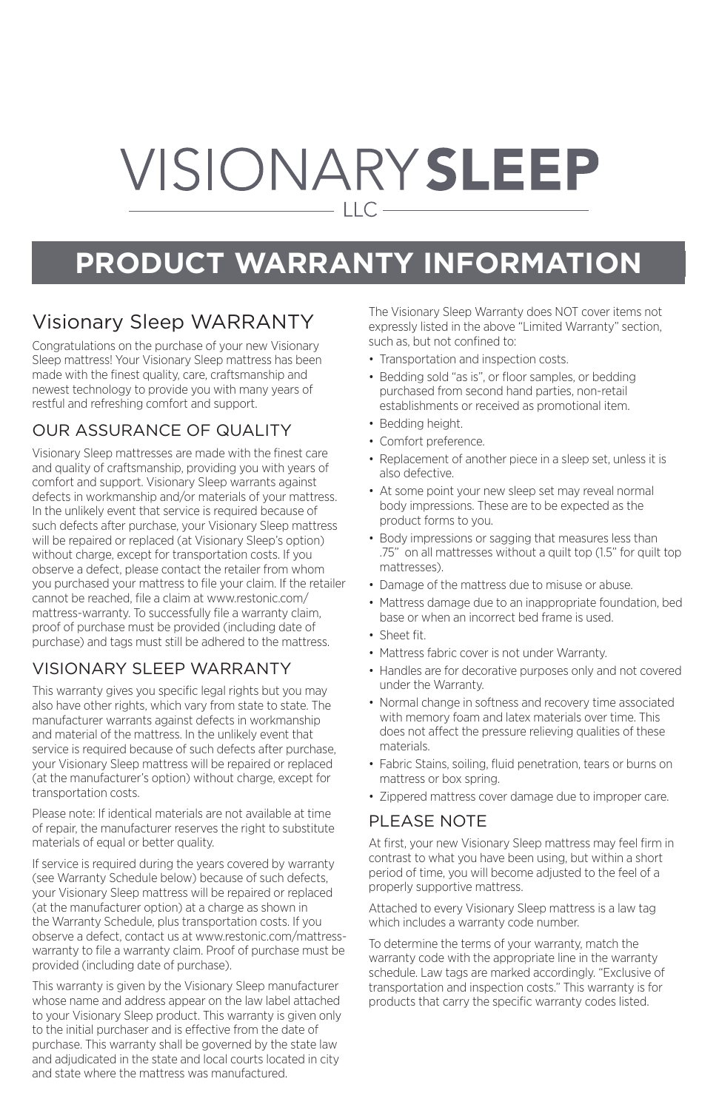# VISIONARYSLEEP  $-$  LLC  $-$

## **PRODUCT WARRANTY INFORMATION**

### Visionary Sleep WARRANTY

Congratulations on the purchase of your new Visionary Sleep mattress! Your Visionary Sleep mattress has been made with the finest quality, care, craftsmanship and newest technology to provide you with many years of restful and refreshing comfort and support.

#### OUR ASSURANCE OF QUALITY

Visionary Sleep mattresses are made with the finest care and quality of craftsmanship, providing you with years of comfort and support. Visionary Sleep warrants against defects in workmanship and/or materials of your mattress. In the unlikely event that service is required because of such defects after purchase, your Visionary Sleep mattress will be repaired or replaced (at Visionary Sleep's option) without charge, except for transportation costs. If you observe a defect, please contact the retailer from whom you purchased your mattress to file your claim. If the retailer cannot be reached, file a claim at www.restonic.com/ mattress-warranty. To successfully file a warranty claim, proof of purchase must be provided (including date of purchase) and tags must still be adhered to the mattress.

#### VISIONARY SLEEP WARRANTY

This warranty gives you specific legal rights but you may also have other rights, which vary from state to state. The manufacturer warrants against defects in workmanship and material of the mattress. In the unlikely event that service is required because of such defects after purchase. your Visionary Sleep mattress will be repaired or replaced (at the manufacturer's option) without charge, except for transportation costs.

Please note: If identical materials are not available at time of repair, the manufacturer reserves the right to substitute materials of equal or better quality.

If service is required during the years covered by warranty (see Warranty Schedule below) because of such defects, your Visionary Sleep mattress will be repaired or replaced (at the manufacturer option) at a charge as shown in the Warranty Schedule, plus transportation costs. If you observe a defect, contact us at www.restonic.com/mattresswarranty to file a warranty claim. Proof of purchase must be provided (including date of purchase).

This warranty is given by the Visionary Sleep manufacturer whose name and address appear on the law label attached to your Visionary Sleep product. This warranty is given only to the initial purchaser and is effective from the date of purchase. This warranty shall be governed by the state law and adjudicated in the state and local courts located in city and state where the mattress was manufactured.

The Visionary Sleep Warranty does NOT cover items not expressly listed in the above "Limited Warranty" section, such as, but not confined to:

- Transportation and inspection costs.
- Bedding sold "as is", or floor samples, or bedding purchased from second hand parties, non-retail establishments or received as promotional item.
- Bedding height.
- Comfort preference.
- Replacement of another piece in a sleep set, unless it is also defective.
- At some point your new sleep set may reveal normal body impressions. These are to be expected as the product forms to you.
- Body impressions or sagging that measures less than .75" on all mattresses without a quilt top (1.5" for quilt top mattresses).
- Damage of the mattress due to misuse or abuse.
- Mattress damage due to an inappropriate foundation, bed base or when an incorrect bed frame is used.
- Sheet fit.
- Mattress fabric cover is not under Warranty.
- Handles are for decorative purposes only and not covered under the Warranty.
- Normal change in softness and recovery time associated with memory foam and latex materials over time. This does not affect the pressure relieving qualities of these materials.
- Fabric Stains, soiling, fluid penetration, tears or burns on mattress or box spring.
- Zippered mattress cover damage due to improper care.

#### PLEASE NOTE

At first, your new Visionary Sleep mattress may feel firm in contrast to what you have been using, but within a short period of time, you will become adjusted to the feel of a properly supportive mattress.

Attached to every Visionary Sleep mattress is a law tag which includes a warranty code number.

To determine the terms of your warranty, match the warranty code with the appropriate line in the warranty schedule. Law tags are marked accordingly. "Exclusive of transportation and inspection costs." This warranty is for products that carry the specific warranty codes listed.